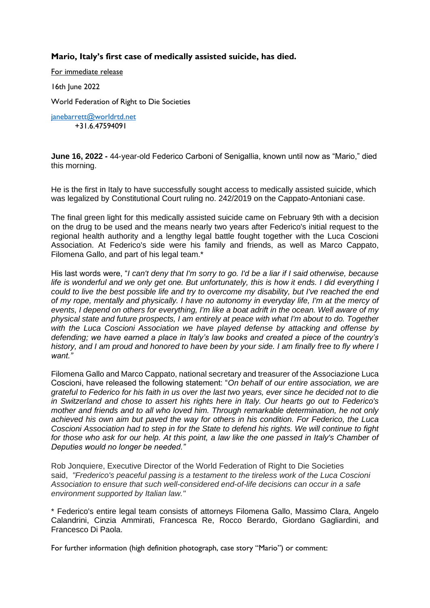## **Mario, Italy's first case of medically assisted suicide, has died.**

For immediate release

16th June 2022

World Federation of Right to Die Societies

[janebarrett@worldrtd.net](mailto:janebarrett@worldrtd.net) +31.6.47594091

**June 16, 2022 -** 44-year-old Federico Carboni of Senigallia, known until now as "Mario," died this morning.

He is the first in Italy to have successfully sought access to medically assisted suicide, which was legalized by Constitutional Court ruling no. 242/2019 on the Cappato-Antoniani case.

The final green light for this medically assisted suicide came on February 9th with a decision on the drug to be used and the means nearly two years after Federico's initial request to the regional health authority and a lengthy legal battle fought together with the Luca Coscioni Association. At Federico's side were his family and friends, as well as Marco Cappato, Filomena Gallo, and part of his legal team.\*

His last words were, "*I can't deny that I'm sorry to go. I'd be a liar if I said otherwise, because life is wonderful and we only get one. But unfortunately, this is how it ends. I did everything I could to live the best possible life and try to overcome my disability, but I've reached the end of my rope, mentally and physically. I have no autonomy in everyday life, I'm at the mercy of events, I depend on others for everything, I'm like a boat adrift in the ocean. Well aware of my physical state and future prospects, I am entirely at peace with what I'm about to do. Together with the Luca Coscioni Association we have played defense by attacking and offense by defending; we have earned a place in Italy's law books and created a piece of the country's history, and I am proud and honored to have been by your side. I am finally free to fly where I want."*

Filomena Gallo and Marco Cappato, national secretary and treasurer of the Associazione Luca Coscioni, have released the following statement: "*On behalf of our entire association, we are grateful to Federico for his faith in us over the last two years, ever since he decided not to die in Switzerland and chose to assert his rights here in Italy. Our hearts go out to Federico's mother and friends and to all who loved him. Through remarkable determination, he not only achieved his own aim but paved the way for others in his condition. For Federico, the Luca Coscioni Association had to step in for the State to defend his rights. We will continue to fight*  for those who ask for our help. At this point, a law like the one passed in Italy's Chamber of *Deputies would no longer be needed."*

Rob Jonquiere, Executive Director of the World Federation of Right to Die Societies said, *"Frederico's peaceful passing is a testament to the tireless work of the Luca Coscioni Association to ensure that such well-considered end-of-life decisions can occur in a safe environment supported by Italian law."*

\* Federico's entire legal team consists of attorneys Filomena Gallo, Massimo Clara, Angelo Calandrini, Cinzia Ammirati, Francesca Re, Rocco Berardo, Giordano Gagliardini, and Francesco Di Paola.

For further information (high definition photograph, case story "Mario") or comment: